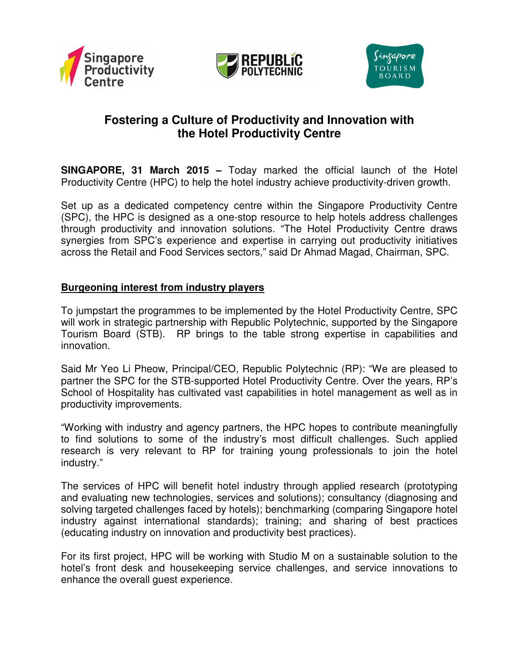





# **Fostering a Culture of Productivity and Innovation with the Hotel Productivity Centre**

**SINGAPORE, 31 March 2015 –** Today marked the official launch of the Hotel Productivity Centre (HPC) to help the hotel industry achieve productivity-driven growth.

Set up as a dedicated competency centre within the Singapore Productivity Centre (SPC), the HPC is designed as a one-stop resource to help hotels address challenges through productivity and innovation solutions. "The Hotel Productivity Centre draws synergies from SPC's experience and expertise in carrying out productivity initiatives across the Retail and Food Services sectors," said Dr Ahmad Magad, Chairman, SPC.

#### **Burgeoning interest from industry players**

To jumpstart the programmes to be implemented by the Hotel Productivity Centre, SPC will work in strategic partnership with Republic Polytechnic, supported by the Singapore Tourism Board (STB). RP brings to the table strong expertise in capabilities and innovation.

Said Mr Yeo Li Pheow, Principal/CEO, Republic Polytechnic (RP): "We are pleased to partner the SPC for the STB-supported Hotel Productivity Centre. Over the years, RP's School of Hospitality has cultivated vast capabilities in hotel management as well as in productivity improvements.

"Working with industry and agency partners, the HPC hopes to contribute meaningfully to find solutions to some of the industry's most difficult challenges. Such applied research is very relevant to RP for training young professionals to join the hotel industry."

The services of HPC will benefit hotel industry through applied research (prototyping and evaluating new technologies, services and solutions); consultancy (diagnosing and solving targeted challenges faced by hotels); benchmarking (comparing Singapore hotel industry against international standards); training; and sharing of best practices (educating industry on innovation and productivity best practices).

For its first project, HPC will be working with Studio M on a sustainable solution to the hotel's front desk and housekeeping service challenges, and service innovations to enhance the overall guest experience.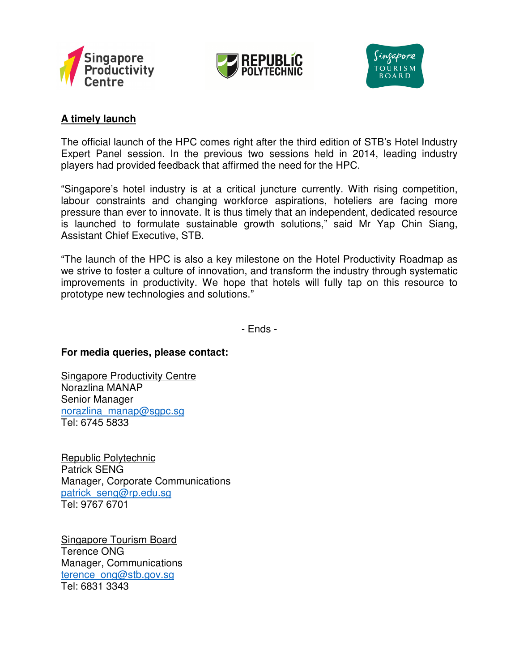





## **A timely launch**

The official launch of the HPC comes right after the third edition of STB's Hotel Industry Expert Panel session. In the previous two sessions held in 2014, leading industry players had provided feedback that affirmed the need for the HPC.

"Singapore's hotel industry is at a critical juncture currently. With rising competition, labour constraints and changing workforce aspirations, hoteliers are facing more pressure than ever to innovate. It is thus timely that an independent, dedicated resource is launched to formulate sustainable growth solutions," said Mr Yap Chin Siang, Assistant Chief Executive, STB.

"The launch of the HPC is also a key milestone on the Hotel Productivity Roadmap as we strive to foster a culture of innovation, and transform the industry through systematic improvements in productivity. We hope that hotels will fully tap on this resource to prototype new technologies and solutions."

- Ends -

#### **For media queries, please contact:**

**Singapore Productivity Centre** Norazlina MANAP Senior Manager norazlina\_manap@sgpc.sg Tel: 6745 5833

Republic Polytechnic Patrick SENG Manager, Corporate Communications patrick\_seng@rp.edu.sg Tel: 9767 6701

Singapore Tourism Board Terence ONG Manager, Communications terence\_ong@stb.gov.sg Tel: 6831 3343